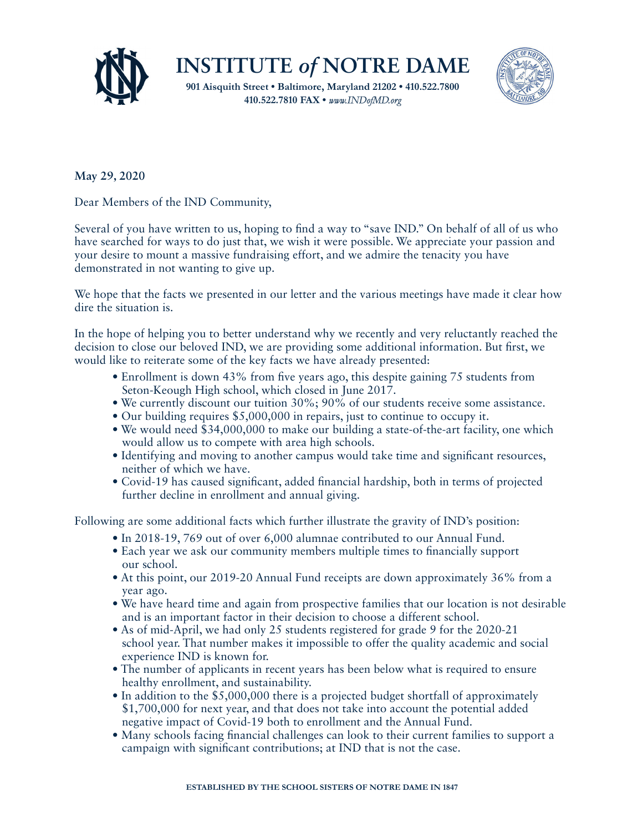



## **May 29, 2020**

Dear Members of the IND Community,

Several of you have written to us, hoping to find a way to "save IND." On behalf of all of us who have searched for ways to do just that, we wish it were possible. We appreciate your passion and your desire to mount a massive fundraising effort, and we admire the tenacity you have demonstrated in not wanting to give up.

We hope that the facts we presented in our letter and the various meetings have made it clear how dire the situation is.

In the hope of helping you to better understand why we recently and very reluctantly reached the decision to close our beloved IND, we are providing some additional information. But first, we would like to reiterate some of the key facts we have already presented:

- Enrollment is down 43% from five years ago, this despite gaining 75 students from Seton-Keough High school, which closed in June 2017.
- We currently discount our tuition 30%; 90% of our students receive some assistance.
- Our building requires \$5,000,000 in repairs, just to continue to occupy it.
- We would need \$34,000,000 to make our building a state-of-the-art facility, one which would allow us to compete with area high schools.
- Identifying and moving to another campus would take time and significant resources, neither of which we have.
- Covid-19 has caused significant, added financial hardship, both in terms of projected further decline in enrollment and annual giving.

Following are some additional facts which further illustrate the gravity of IND's position:

- In 2018-19, 769 out of over 6,000 alumnae contributed to our Annual Fund.
- Each year we ask our community members multiple times to financially support our school.
- At this point, our 2019-20 Annual Fund receipts are down approximately 36% from a year ago.
- We have heard time and again from prospective families that our location is not desirable and is an important factor in their decision to choose a different school.
- As of mid-April, we had only 25 students registered for grade 9 for the 2020-21 school year. That number makes it impossible to offer the quality academic and social experience IND is known for.
- The number of applicants in recent years has been below what is required to ensure healthy enrollment, and sustainability.
- In addition to the \$5,000,000 there is a projected budget shortfall of approximately \$1,700,000 for next year, and that does not take into account the potential added negative impact of Covid-19 both to enrollment and the Annual Fund.
- Many schools facing financial challenges can look to their current families to support a campaign with significant contributions; at IND that is not the case.